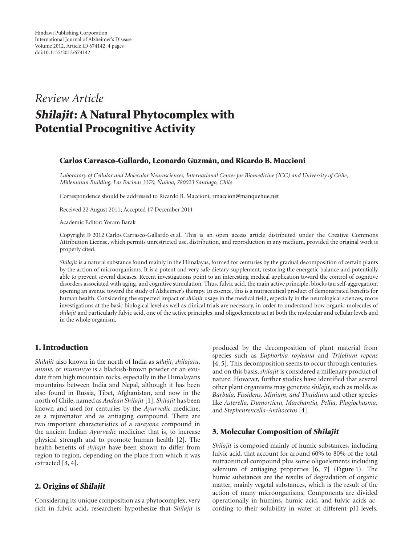# *Review Article* **Shilajit: A Natural Phytocomplex with Potential Procognitive Activity**

## **Carlos Carrasco-Gallardo, Leonardo Guzman, and Ricardo B. Maccioni ´**

*Laboratory of Cellular and Molecular Neurosciences, International Center for Biomedicine (ICC) and University of Chile, Millennium Building, Las Encinas 3370, Nu˜ noa, 780023 Santiago, Chile ˜*

Correspondence should be addressed to Ricardo B. Maccioni, [rmaccion@manquehue.net](mailto:rmaccion@manquehue.net)

Received 22 August 2011; Accepted 17 December 2011

Academic Editor: Yoram Barak

Copyright © 2012 Carlos Carrasco-Gallardo et al. This is an open access article distributed under the Creative Commons Attribution License, which permits unrestricted use, distribution, and reproduction in any medium, provided the original work is properly cited.

*Shilajit* is a natural substance found mainly in the Himalayas, formed for centuries by the gradual decomposition of certain plants by the action of microorganisms. It is a potent and very safe dietary supplement, restoring the energetic balance and potentially able to prevent several diseases. Recent investigations point to an interesting medical application toward the control of cognitive disorders associated with aging, and cognitive stimulation. Thus, fulvic acid, the main active principle, blocks tau self-aggregation, opening an avenue toward the study of Alzheimer's therapy. In essence, this is a nutraceutical product of demonstrated benefits for human health. Considering the expected impact of *shilajit* usage in the medical field, especially in the neurological sciences, more investigations at the basic biological level as well as clinical trials are necessary, in order to understand how organic molecules of *shilajit* and particularly fulvic acid, one of the active principles, and oligoelements act at both the molecular and cellular levels and in the whole organism.

#### **1. Introduction**

*Shilajit* also known in the north of India as *salajit*, *shilajatu*, *mimie*, or *mummiyo* is a blackish-brown powder or an exudate from high mountain rocks, especially in the Himalayans mountains between India and Nepal, although it has been also found in Russia, Tibet, Afghanistan, and now in the north of Chile, named as *Andean Shilajit* [\[1](#page-2-1)]. *Shilajit* has been known and used for centuries by the *Ayurvedic* medicine, as a rejuvenator and as antiaging compound. There are two important characteristics of a *rasayana* compound in the ancient Indian *Ayurvedic* medicine: that is, to increase physical strength and to promote human health [\[2\]](#page-2-2). The health benefits of *shilajit* have been shown to differ from region to region, depending on the place from which it was extracted [\[3](#page-2-3), [4\]](#page-2-4).

## **2. Origins of Shilajit**

Considering its unique composition as a phytocomplex, very rich in fulvic acid, researchers hypothesize that *Shilajit* is produced by the decomposition of plant material from species such as *Euphorbia royleana* and *Trifolium repens* [\[4](#page-2-4), [5](#page-3-0)]. This decomposition seems to occur through centuries, and on this basis, *shilajit* is considered a millenary product of nature. However, further studies have identified that several other plant organisms may generate *shilajit*, such as molds as *Barbula, Fissidens, Minium, and Thuidium* and other species like *Asterella, Dumortiera, Marchantia, Pellia, Plagiochasma,* and *Stephenrencella-Anthoceros* [\[4\]](#page-2-4).

## **3. Molecular Composition of Shilajit**

*Shilajit* is composed mainly of humic substances, including fulvic acid, that account for around 60% to 80% of the total nutraceutical compound plus some oligoelements including selenium of antiaging properties [\[6,](#page-3-1) [7\]](#page-3-2) [\(Figure 1\)](#page-1-0). The humic substances are the results of degradation of organic matter, mainly vegetal substances, which is the result of the action of many microorganisms. Components are divided operationally in humins, humic acid, and fulvic acids according to their solubility in water at different pH levels.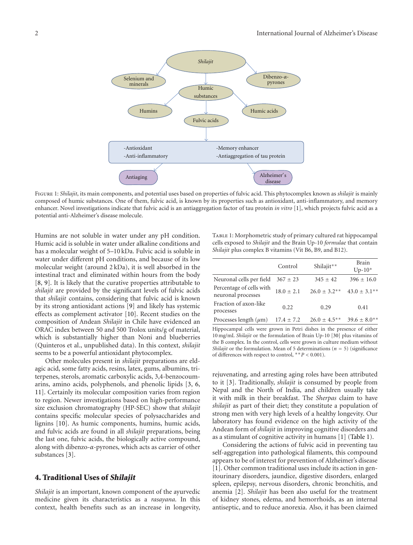

<span id="page-1-0"></span>Figure 1: *Shilajit*, its main components, and potential uses based on properties of fulvic acid. This phytocomplex known as *shilajit* is mainly composed of humic substances. One of them, fulvic acid, is known by its properties such as antioxidant, anti-inflammatory, and memory enhancer. Novel investigations indicate that fulvic acid is an antiaggregation factor of tau protein *in vitro* [\[1\]](#page-2-1), which projects fulvic acid as a potential anti-Alzheimer's disease molecule.

Humins are not soluble in water under any pH condition. Humic acid is soluble in water under alkaline conditions and has a molecular weight of 5–10 kDa. Fulvic acid is soluble in water under different pH conditions, and because of its low molecular weight (around 2 kDa), it is well absorbed in the intestinal tract and eliminated within hours from the body [\[8](#page-3-3), [9](#page-3-4)]. It is likely that the curative properties attributable to *shilajit* are provided by the significant levels of fulvic acids that *shilajit* contains, considering that fulvic acid is known by its strong antioxidant actions [\[9](#page-3-4)] and likely has systemic effects as complement activator [\[10](#page-3-5)]. Recent studies on the composition of Andean *Shilajit* in Chile have evidenced an ORAC index between 50 and 500 Trolox units/g of material, which is substantially higher than Noni and blueberries (Quinteros et al., unpublished data). In this context, *shilajit* seems to be a powerful antioxidant phytocomplex.

Other molecules present in *shilajit* preparations are eldagic acid, some fatty acids, resins, latex, gums, albumins, triterpenes, sterols, aromatic carboxylic acids, 3,4-benzocoumarins, amino acids, polyphenols, and phenolic lipids [\[3,](#page-2-3) [6,](#page-3-1) [11](#page-3-6)]. Certainly its molecular composition varies from region to region. Newer investigations based on high-performance size exclusion chromatography (HP-SEC) show that *shilajit* contains specific molecular species of polysaccharides and lignins [\[10\]](#page-3-5). As humic components, humins, humic acids, and fulvic acids are found in all *shilajit* preparations, being the last one, fulvic acids, the biologically active compound, along with dibenzo-*α*-pyrones, which acts as carrier of other substances [\[3\]](#page-2-3).

#### **4. Traditional Uses of Shilajit**

*Shilajit* is an important, known component of the ayurvedic medicine given its characteristics as a *rasayana*. In this context, health benefits such as an increase in longevity, <span id="page-1-1"></span>TABLE 1: Morphometric study of primary cultured rat hippocampal cells exposed to *Shilajit* and the Brain Up-10 *formulae* that contain *Shilajit* plus complex B vitamins (Vit B6, B9, and B12).

|                                                | Control        | Shilajit**        | Brain<br>$Up-10*$ |
|------------------------------------------------|----------------|-------------------|-------------------|
| Neuronal cells per field                       | $367 \pm 23$   | $345 + 42$        | $396 + 16.0$      |
| Percentage of cells with<br>neuronal processes | $18.0 + 2.1$   | $26.0 + 3.2^{**}$ | $43.0 + 3.1$ **   |
| Fraction of axon-like<br>processes             | 0.22           | 0.29              | 0.41              |
| Processes length $(\mu m)$                     | $17.4 \pm 7.2$ | $26.0 + 4.5***$   | $39.6 + 8.0^{**}$ |

Hippocampal cells were grown in Petri dishes in the presence of either 10 mg/mL *Shilajit* or the formulation of Brain Up-10 [\[30\]](#page-3-7) plus vitamins of the B complex. In the control, cells were grown in culture medium without *Shilajit* or the formulation. Mean of 5 determinations ( $n = 5$ ) (significance of differences with respect to control, ∗∗*P <* 0*.*001).

rejuvenating, and arresting aging roles have been attributed to it [\[3](#page-2-3)]. Traditionally, *shilajit* is consumed by people from Nepal and the North of India, and children usually take it with milk in their breakfast. The *Sherpas* claim to have *shilajit* as part of their diet; they constitute a population of strong men with very high levels of a healthy longevity. Our laboratory has found evidence on the high activity of the Andean form of *shilajit* in improving cognitive disorders and as a stimulant of cognitive activity in humans [\[1\]](#page-2-1) [\(Table 1\)](#page-1-1).

Considering the actions of fulvic acid in preventing tau self-aggregation into pathological filaments, this compound appears to be of interest for prevention of Alzheimer's disease [\[1](#page-2-1)]. Other common traditional uses include its action in genitourinary disorders, jaundice, digestive disorders, enlarged spleen, epilepsy, nervous disorders, chronic bronchitis, and anemia [\[2\]](#page-2-2). *Shilajit* has been also useful for the treatment of kidney stones, edema, and hemorrhoids, as an internal antiseptic, and to reduce anorexia. Also, it has been claimed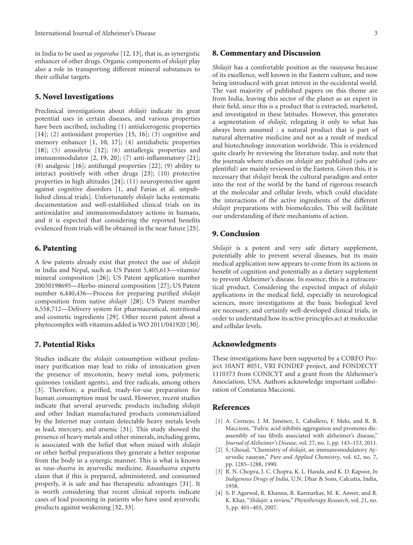in India to be used as *yogavaha* [\[12,](#page-3-8) [13](#page-3-9)], that is, as synergistic enhancer of other drugs. Organic components of *shilajit* play also a role in transporting different mineral substances to their cellular targets.

#### **5. Novel Investigations**

Preclinical investigations about *shilajit* indicate its great potential uses in certain diseases, and various properties have been ascribed, including (1) antiulcerogenic properties [\[14\]](#page-3-10); (2) antioxidant properties [\[15,](#page-3-11) [16](#page-3-12)]; (3) cognitive and memory enhancer [\[1,](#page-2-1) [10](#page-3-5), [17\]](#page-3-13); (4) antidiabetic properties [\[18\]](#page-3-14); (5) anxiolytic [\[12](#page-3-8)]; (6) antiallergic properties and immunomodulator [\[2,](#page-2-2) [19,](#page-3-15) [20\]](#page-3-16); (7) anti-inflammatory [\[21\]](#page-3-17); (8) analgesic [\[16\]](#page-3-12); antifungal properties [\[22](#page-3-18)]; (9) ability to interact positively with other drugs [\[23\]](#page-3-19); (10) protective properties in high altitudes [\[24](#page-3-20)]; (11) neuroprotective agent against cognitive disorders [\[1](#page-2-1), and Farias et al. unpublished clinical trials]. Unfortunately *shilajit* lacks systematic documentation and well-established clinical trials on its antioxidative and immunomodulatory actions in humans, and it is expected that considering the reported benefits evidenced from trials will be obtained in the near future [\[25\]](#page-3-21).

#### **6. Patenting**

A few patents already exist that protect the use of *shilajit* in India and Nepal, such as US Patent 5,405,613—vitamin/ mineral composition [\[26\]](#page-3-22); US Patent application number 20030198695—Herbo-mineral composition [\[27](#page-3-23)]; US Patent number 6,440,436—Process for preparing purified *shilajit* composition from native *shilajit* [\[28](#page-3-24)]; US Patent number 6,558,712—Delivery system for pharmaceutical, nutritional and cosmetic ingredients [\[29](#page-3-25)]. Other recent patent about a phytocomplex with vitamins added is WO 2011/041920 [\[30\]](#page-3-7).

## **7. Potential Risks**

Studies indicate the *shilajit* consumption without preliminary purification may lead to risks of intoxication given the presence of mycotoxin, heavy metal ions, polymeric quinones (oxidant agents), and free radicals, among others [\[3](#page-2-3)]. Therefore, a purified, ready-for-use preparation for human consumption must be used. However, recent studies indicate that several ayurvedic products including *shilajit* and other Indian manufactured products commercialized by the Internet may contain detectable heavy metals levels as lead, mercury, and arsenic [\[31\]](#page-3-26). This study showed the presence of heavy metals and other minerals, including gems, is associated with the belief that when mixed with *shilajit* or other herbal preparations they generate a better response from the body in a synergic manner. This is what is known as *rasa-shastra* in ayurvedic medicine. *Rasashastra* experts claim that if this is prepared, administered, and consumed properly, it is safe and has therapeutic advantages [\[31\]](#page-3-26). It is worth considering that recent clinical reports indicate cases of lead poisoning in patients who have used ayurvedic products against weakening [\[32](#page-3-27), [33\]](#page-3-28).

#### **8. Commentary and Discussion**

*Shilajit* has a comfortable position as the *rasayana* because of its excellence, well known in the Eastern culture, and now being introduced with great interest in the occidental world. The vast majority of published papers on this theme are from India, leaving this sector of the planet as an expert in their field, since this is a product that is extracted, marketed, and investigated in these latitudes. However, this generates a segmentation of *shilajit*, relegating it only to what has always been assumed : a natural product that is part of natural alternative medicine and not as a result of medical and biotechnology innovation worldwide. This is evidenced quite clearly by reviewing the literature today, and note that the journals where studies on *shilajit* are published (jobs are plentiful) are mainly reviewed in the Eastern. Given this, it is necessary that *shilajit* break the cultural paradigm and enter into the rest of the world by the hand of rigorous research at the molecular and cellular levels, which could elucidate the interactions of the active ingredients of the different *shilajit* preparations with biomolecules. This will facilitate our understanding of their mechanisms of action.

#### **9. Conclusion**

*Shilajit* is a potent and very safe dietary supplement, potentially able to prevent several diseases, but its main medical application now appears to come from its actions in benefit of cognition and potentially as a dietary supplement to prevent Alzheimer's disease. In essence, this is a nutraceutical product. Considering the expected impact of *shilajit* applications in the medical field, especially in neurological sciences, more investigations at the basic biological level are necessary, and certainly well-developed clinical trials, in order to understand how its active principles act at molecular and cellular levels.

## **Acknowledgments**

These investigations have been supported by a CORFO Project 10ANT 8051, VRI FONDEF project, and FONDECYT 1110373 from CONICYT and a grant from the Alzheimer's Association, USA. Authors acknowledge important collaboration of Constanza Maccioni.

## <span id="page-2-0"></span>**References**

- <span id="page-2-1"></span>[1] A. Cornejo, J. M. Jiménez, L. Caballero, F. Melo, and R. B. Maccioni, "Fulvic acid inhibits aggregation and promotes disassembly of tau fibrils associated with alzheimer's disease," *Journal of Alzheimer's Disease*, vol. 27, no. 1, pp. 143–153, 2011.
- <span id="page-2-2"></span>[2] S. Ghosal, "Chemistry of *shilajit*, an immunomodulatory Ayurvedic rasayan," *Pure and Applied Chemistry*, vol. 62, no. 7, pp. 1285–1288, 1990.
- <span id="page-2-3"></span>[3] R. N. Chopra, I. C. Chopra, K. L. Handa, and K. D. Kapoor, *In Indigenous Drugs of India*, U.N. Dhar & Sons, Calcutta, India, 1958.
- <span id="page-2-4"></span>[4] S. P. Agarwal, R. Khanna, R. Karmarkar, M. K. Anwer, and R. K. Khar, "*Shilajit*: a review," *Phytotherapy Research*, vol. 21, no. 5, pp. 401–405, 2007.